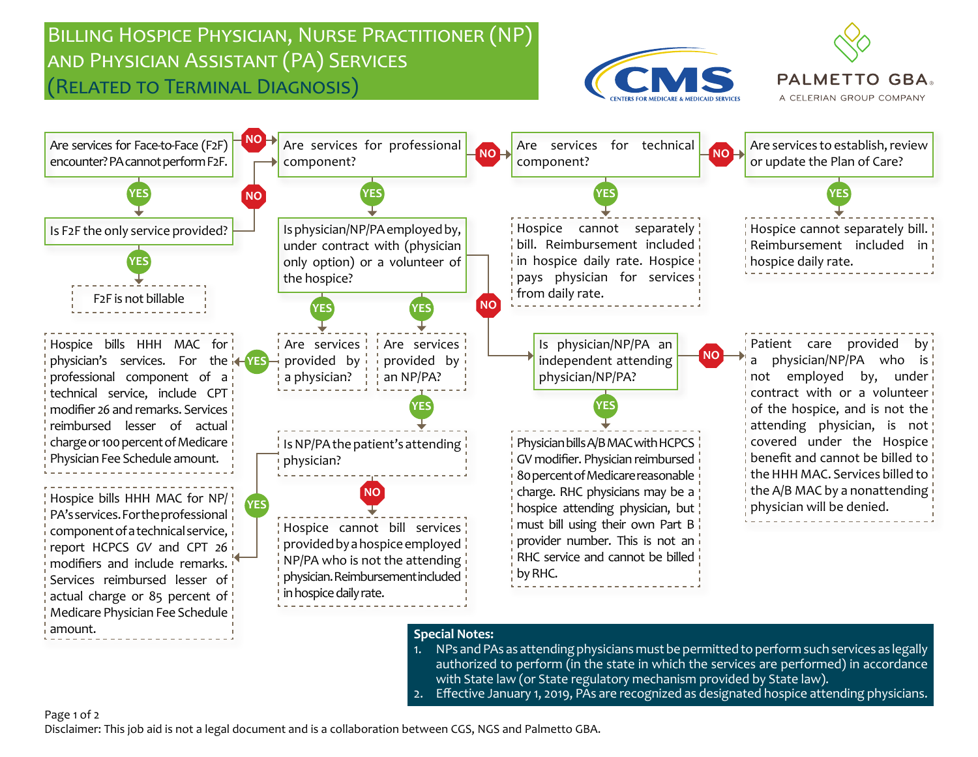## Billing Hospice Physician, Nurse Practitioner (NP) and Physician Assistant (PA) Services (Related to Terminal Diagnosis)



**PALMETTO GBA** A CELERIAN GROUP COMPANY



### **Special Notes:**

- 1. NPs and PAs as attending physicians must be permitted to perform such services as legally authorized to perform (in the state in which the services are performed) in accordance with State law (or State regulatory mechanism provided by State law).
- 2. Effective January 1, 2019, PAs are recognized as designated hospice attending physicians.

#### Page 1 of 2

Disclaimer: This job aid is not a legal document and is a collaboration between CGS, NGS and Palmetto GBA.